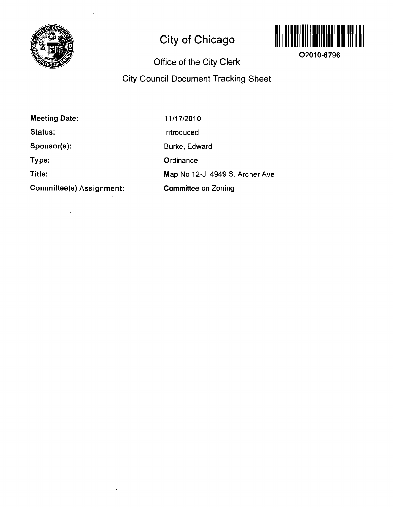

# **City of Chicago**



**O2010-6796** 

## **Office of the City Clerk**

### **City Council Document Tracking Sheet**

**Meeting Date: Status: Sponsor(s): Type: Title: Committee(s) Assignment:**  11/17/2010 Introduced Burke, Edward **Ordinance** Map No 12-J 4949 S. Archer Ave Committee on Zoning